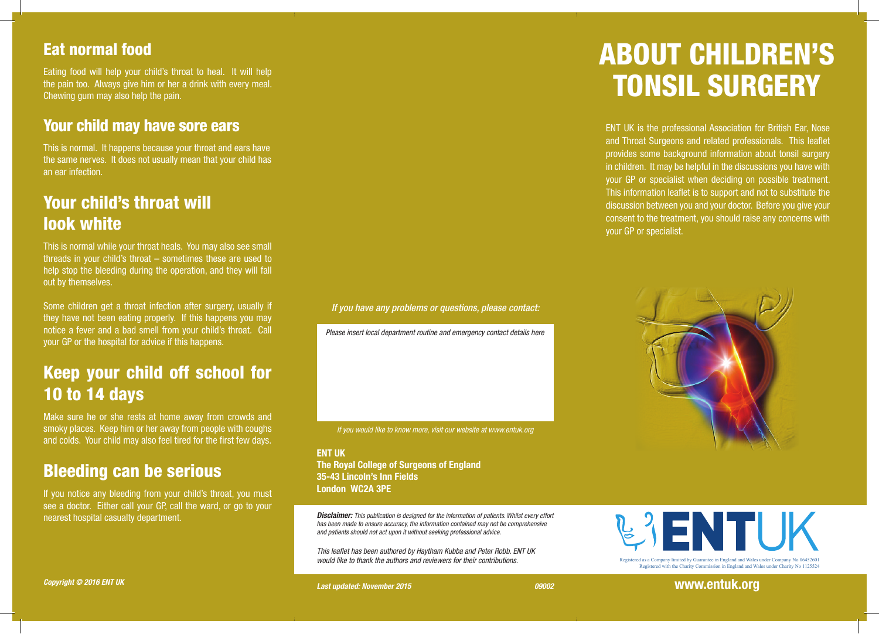#### Eat normal food

Eating food will help your child's throat to heal. It will help the pain too. Always give him or her a drink with every meal. Chewing gum may also help the pain.

#### Your child may have sore ears

This is normal. It happens because your throat and ears have the same nerves. It does not usually mean that your child has an ear infection.

# Your child's throat will look white

This is normal while your throat heals. You may also see small threads in your child's throat – sometimes these are used to help stop the bleeding during the operation, and they will fall out by themselves.

Some children get a throat infection after surgery, usually if they have not been eating properly. If this happens you may notice a fever and a bad smell from your child's throat. Call your GP or the hospital for advice if this happens.

# Keep your child off school for 10 to 14 days

Make sure he or she rests at home away from crowds and smoky places. Keep him or her away from people with coughs and colds. Your child may also feel tired for the first few days.

### Bleeding can be serious

If you notice any bleeding from your child's throat, you must see a doctor. Either call your GP, call the ward, or go to your nearest hospital casualty department.

#### *If you have any problems or questions, please contact:*

*Please insert local department routine and emergency contact details here*

*If you would like to know more, visit our website at www.entuk.org*

ENT UK The Royal College of Surgeons of England 35-43 Lincoln's Inn Fields London WC2A 3PE

*Disclaimer: This publication is designed for the information of patients. Whilst every effort has been made to ensure accuracy, the information contained may not be comprehensive and patients should not act upon it without seeking professional advice.*

*This leaflet has been authored by Haytham Kubba and Peter Robb. ENT UK would like to thank the authors and reviewers for their contributions.*

# ABOUT CHILDREN'S TONSIL SURGERY

ENT UK is the professional Association for British Ear, Nose and Throat Surgeons and related professionals. This leaflet provides some background information about tonsil surgery in children. It may be helpful in the discussions you have with your GP or specialist when deciding on possible treatment. This information leaflet is to support and not to substitute the discussion between you and your doctor. Before you give your consent to the treatment, you should raise any concerns with your GP or specialist.





Registered with the Charity Commission in England and Wales under Charity No 1125524

 $R_{\rm eff}$  company limited by Guarantee in England and Wales under Company No  $64526$